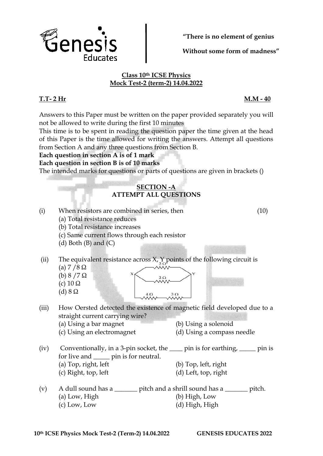

from Section A and any three questions from Section B.

## **Each question in section A is of 1 mark**

**Each question in section B is of 10 marks**

The intended marks for questions or parts of questions are given in brackets ()

- (iii) How Oersted detected the existence of magnetic field developed due to a straight current carrying wire?
- (iv) Conventionally, in a 3-pin socket, the \_\_\_\_ pin is for earthing, \_\_\_\_\_ pin is for live and \_\_\_\_\_ pin is for neutral. (a) Top, right, left (b) Top, left, right (c) Right, top, left  $\qquad \qquad$  (d) Left, top, right
- (v) A dull sound has a  $\qquad$  pitch and a shrill sound has a  $\qquad$  pitch. (a) Low, High (b) High, Low (c) Low, Low (d) High, High

**"There is no element of genius**

**Without some form of madness"**

## **Class 10th ICSE Physics Mock Test-2 (term-2) 14.04.2022**

## **SECTION -A ATTEMPT ALL QUESTIONS** (i) When resistors are combined in series, then (10) (a) Total resistance reduces (b) Total resistance increases (c) Same current flows through each resistor (d) Both  $(B)$  and  $(C)$ (ii) The equivalent resistance across  $X$ ,  $Y$  points of the following circuit is (a) 7 / 8 Ω (b)  $8 / 7 Ω$ (c)  $10 \Omega$ (d) 8 Ω  $3\Omega$ (a) Using a bar magnet (b) Using a solenoid (c) Using an electromagnet (d) Using a compass needle



**T.T- 2 Hr M.M - 40**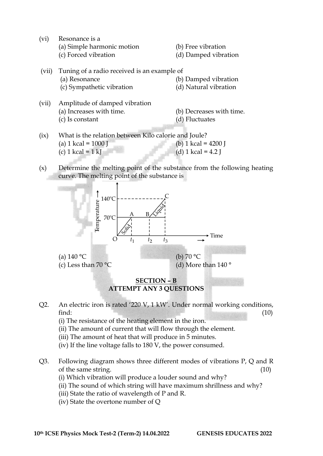(vi) Resonance is a

| (a) Simple harmonic motion |  |  |  |  |  |
|----------------------------|--|--|--|--|--|
|----------------------------|--|--|--|--|--|

 $(b)$  Free vibration

(c) Forced vibration (d) Damped vibration

| (vii) | Tuning of a radio received is an example of<br>(a) Resonance<br>(c) Sympathetic vibration | (b) Damped vibration<br>(d) Natural vibration |
|-------|-------------------------------------------------------------------------------------------|-----------------------------------------------|
| (vii) | Amplitude of damped vibration                                                             |                                               |

- (vii) Amplitude of damped vibration (a) Increases with time. (b) Decreases with time. (c) Is constant (d) Fluctuates
- (ix) What is the relation between Kilo calorie and Joule? (a)  $1 \text{ kcal} = 1000 \text{ J}$  (b)  $1 \text{ kcal} = 4200 \text{ J}$ (c)  $1 \text{ kcal} = 1 \text{ kJ}$  (d)  $1 \text{ kcal} = 4.2 \text{ J}$
- (x) Determine the melting point of the substance from the following heating curve. The melting point of the substance is



## **SECTION – B ATTEMPT ANY 3 QUESTIONS**

- Q2. An electric iron is rated '220 V, 1 kW'. Under normal working conditions, find:  $(10)$ 
	- (i) The resistance of the heating element in the iron.
	- (ii) The amount of current that will flow through the element.
	- (iii) The amount of heat that will produce in 5 minutes.
	- (iv) If the line voltage falls to 180 V, the power consumed.
- Q3. Following diagram shows three different modes of vibrations P, Q and R of the same string. (10)
	- (i) Which vibration will produce a louder sound and why?
	- (ii) The sound of which string will have maximum shrillness and why?
	- (iii) State the ratio of wavelength of P and R.
	- (iv) State the overtone number of Q